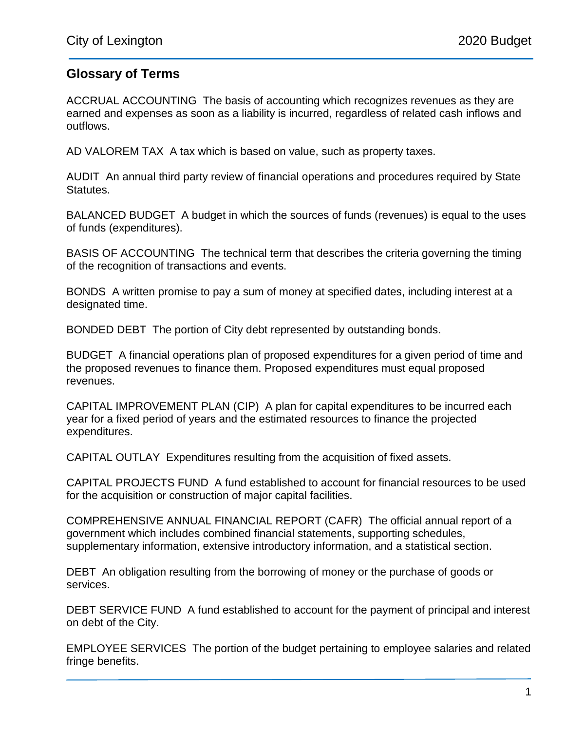## **Glossary of Terms**

ACCRUAL ACCOUNTING The basis of accounting which recognizes revenues as they are earned and expenses as soon as a liability is incurred, regardless of related cash inflows and outflows.

AD VALOREM TAX A tax which is based on value, such as property taxes.

AUDIT An annual third party review of financial operations and procedures required by State Statutes.

BALANCED BUDGET A budget in which the sources of funds (revenues) is equal to the uses of funds (expenditures).

BASIS OF ACCOUNTING The technical term that describes the criteria governing the timing of the recognition of transactions and events.

BONDS A written promise to pay a sum of money at specified dates, including interest at a designated time.

BONDED DEBT The portion of City debt represented by outstanding bonds.

BUDGET A financial operations plan of proposed expenditures for a given period of time and the proposed revenues to finance them. Proposed expenditures must equal proposed revenues.

CAPITAL IMPROVEMENT PLAN (CIP) A plan for capital expenditures to be incurred each year for a fixed period of years and the estimated resources to finance the projected expenditures.

CAPITAL OUTLAY Expenditures resulting from the acquisition of fixed assets.

CAPITAL PROJECTS FUND A fund established to account for financial resources to be used for the acquisition or construction of major capital facilities.

COMPREHENSIVE ANNUAL FINANCIAL REPORT (CAFR) The official annual report of a government which includes combined financial statements, supporting schedules, supplementary information, extensive introductory information, and a statistical section.

DEBT An obligation resulting from the borrowing of money or the purchase of goods or services.

DEBT SERVICE FUND A fund established to account for the payment of principal and interest on debt of the City.

EMPLOYEE SERVICES The portion of the budget pertaining to employee salaries and related fringe benefits.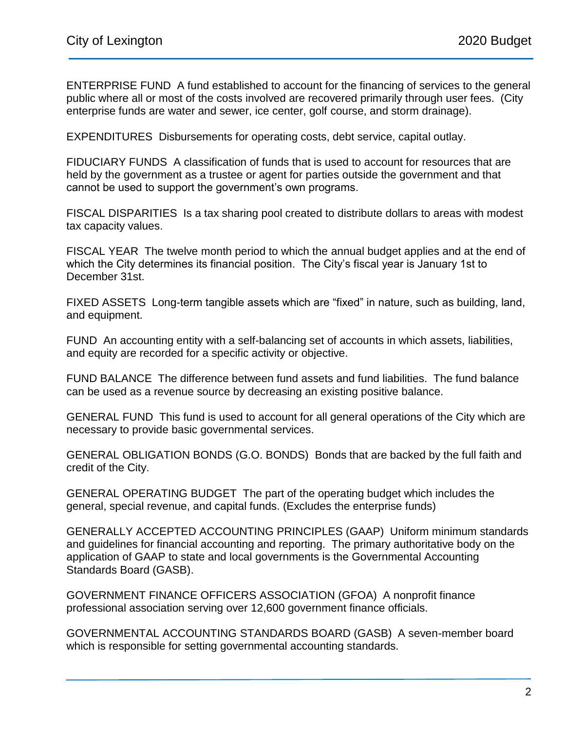ENTERPRISE FUND A fund established to account for the financing of services to the general public where all or most of the costs involved are recovered primarily through user fees. (City enterprise funds are water and sewer, ice center, golf course, and storm drainage).

EXPENDITURES Disbursements for operating costs, debt service, capital outlay.

FIDUCIARY FUNDS A classification of funds that is used to account for resources that are held by the government as a trustee or agent for parties outside the government and that cannot be used to support the government's own programs.

FISCAL DISPARITIES Is a tax sharing pool created to distribute dollars to areas with modest tax capacity values.

FISCAL YEAR The twelve month period to which the annual budget applies and at the end of which the City determines its financial position. The City's fiscal year is January 1st to December 31st.

FIXED ASSETS Long-term tangible assets which are "fixed" in nature, such as building, land, and equipment.

FUND An accounting entity with a self-balancing set of accounts in which assets, liabilities, and equity are recorded for a specific activity or objective.

FUND BALANCE The difference between fund assets and fund liabilities. The fund balance can be used as a revenue source by decreasing an existing positive balance.

GENERAL FUND This fund is used to account for all general operations of the City which are necessary to provide basic governmental services.

GENERAL OBLIGATION BONDS (G.O. BONDS) Bonds that are backed by the full faith and credit of the City.

GENERAL OPERATING BUDGET The part of the operating budget which includes the general, special revenue, and capital funds. (Excludes the enterprise funds)

GENERALLY ACCEPTED ACCOUNTING PRINCIPLES (GAAP) Uniform minimum standards and guidelines for financial accounting and reporting. The primary authoritative body on the application of GAAP to state and local governments is the Governmental Accounting Standards Board (GASB).

GOVERNMENT FINANCE OFFICERS ASSOCIATION (GFOA) A nonprofit finance professional association serving over 12,600 government finance officials.

GOVERNMENTAL ACCOUNTING STANDARDS BOARD (GASB) A seven-member board which is responsible for setting governmental accounting standards.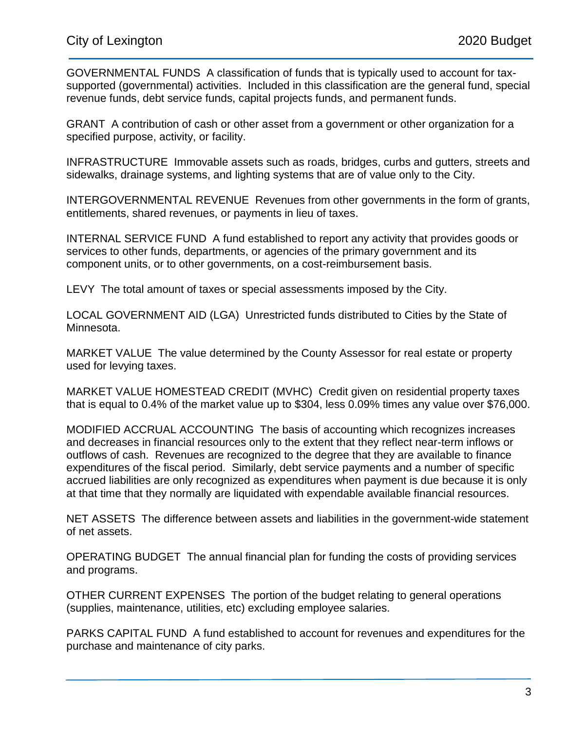GOVERNMENTAL FUNDS A classification of funds that is typically used to account for taxsupported (governmental) activities. Included in this classification are the general fund, special revenue funds, debt service funds, capital projects funds, and permanent funds.

GRANT A contribution of cash or other asset from a government or other organization for a specified purpose, activity, or facility.

INFRASTRUCTURE Immovable assets such as roads, bridges, curbs and gutters, streets and sidewalks, drainage systems, and lighting systems that are of value only to the City.

INTERGOVERNMENTAL REVENUE Revenues from other governments in the form of grants, entitlements, shared revenues, or payments in lieu of taxes.

INTERNAL SERVICE FUND A fund established to report any activity that provides goods or services to other funds, departments, or agencies of the primary government and its component units, or to other governments, on a cost-reimbursement basis.

LEVY The total amount of taxes or special assessments imposed by the City.

LOCAL GOVERNMENT AID (LGA) Unrestricted funds distributed to Cities by the State of Minnesota.

MARKET VALUE The value determined by the County Assessor for real estate or property used for levying taxes.

MARKET VALUE HOMESTEAD CREDIT (MVHC) Credit given on residential property taxes that is equal to 0.4% of the market value up to \$304, less 0.09% times any value over \$76,000.

MODIFIED ACCRUAL ACCOUNTING The basis of accounting which recognizes increases and decreases in financial resources only to the extent that they reflect near-term inflows or outflows of cash. Revenues are recognized to the degree that they are available to finance expenditures of the fiscal period. Similarly, debt service payments and a number of specific accrued liabilities are only recognized as expenditures when payment is due because it is only at that time that they normally are liquidated with expendable available financial resources.

NET ASSETS The difference between assets and liabilities in the government-wide statement of net assets.

OPERATING BUDGET The annual financial plan for funding the costs of providing services and programs.

OTHER CURRENT EXPENSES The portion of the budget relating to general operations (supplies, maintenance, utilities, etc) excluding employee salaries.

PARKS CAPITAL FUND A fund established to account for revenues and expenditures for the purchase and maintenance of city parks.